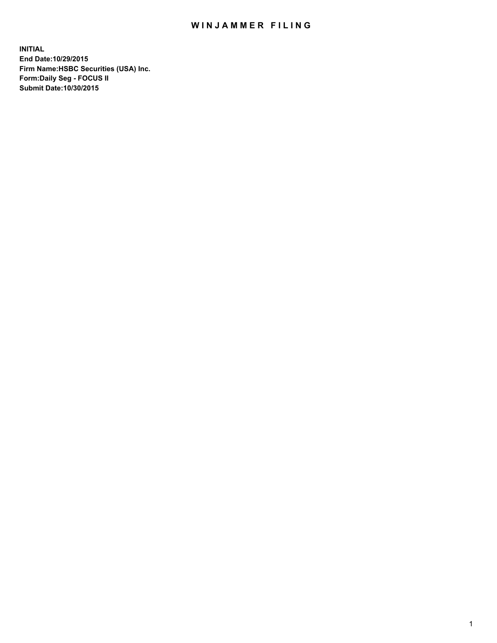## WIN JAMMER FILING

**INITIAL End Date:10/29/2015 Firm Name:HSBC Securities (USA) Inc. Form:Daily Seg - FOCUS II Submit Date:10/30/2015**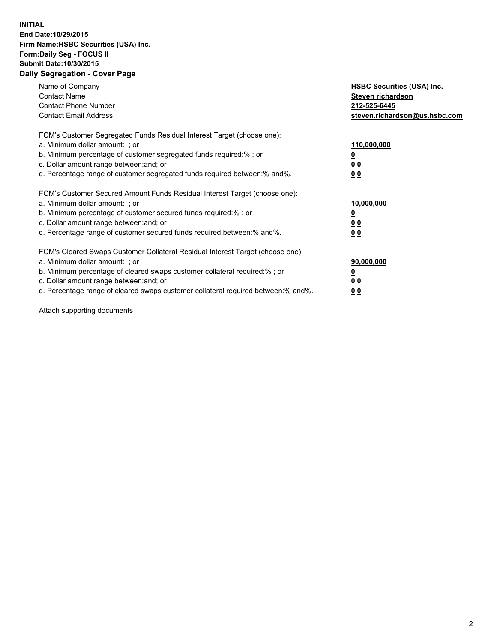## **INITIAL End Date:10/29/2015 Firm Name:HSBC Securities (USA) Inc. Form:Daily Seg - FOCUS II Submit Date:10/30/2015 Daily Segregation - Cover Page**

| Name of Company<br><b>Contact Name</b><br><b>Contact Phone Number</b><br><b>Contact Email Address</b>                                                                                                                                                                                                                         | <b>HSBC Securities (USA) Inc.</b><br>Steven richardson<br>212-525-6445<br>steven.richardson@us.hsbc.com |
|-------------------------------------------------------------------------------------------------------------------------------------------------------------------------------------------------------------------------------------------------------------------------------------------------------------------------------|---------------------------------------------------------------------------------------------------------|
| FCM's Customer Segregated Funds Residual Interest Target (choose one):<br>a. Minimum dollar amount: ; or<br>b. Minimum percentage of customer segregated funds required:% ; or<br>c. Dollar amount range between: and; or<br>d. Percentage range of customer segregated funds required between: % and %.                      | 110,000,000<br><u>0</u><br>0 <sub>0</sub><br>0 <sub>0</sub>                                             |
| FCM's Customer Secured Amount Funds Residual Interest Target (choose one):<br>a. Minimum dollar amount: ; or<br>b. Minimum percentage of customer secured funds required:%; or<br>c. Dollar amount range between: and; or<br>d. Percentage range of customer secured funds required between:% and%.                           | 10,000,000<br>0 <sub>0</sub><br>0 <sub>0</sub>                                                          |
| FCM's Cleared Swaps Customer Collateral Residual Interest Target (choose one):<br>a. Minimum dollar amount: ; or<br>b. Minimum percentage of cleared swaps customer collateral required:%; or<br>c. Dollar amount range between: and; or<br>d. Percentage range of cleared swaps customer collateral required between:% and%. | 90,000,000<br>0 <sub>0</sub><br>00                                                                      |

Attach supporting documents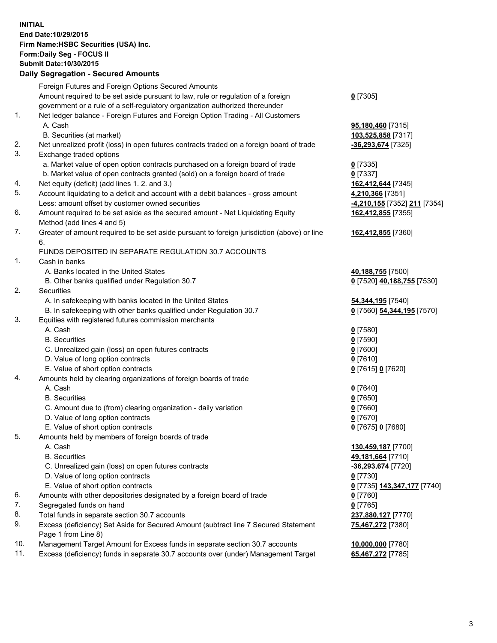**INITIAL End Date:10/29/2015 Firm Name:HSBC Securities (USA) Inc. Form:Daily Seg - FOCUS II Submit Date:10/30/2015 Daily Segregation - Secured Amounts**

## Foreign Futures and Foreign Options Secured Amounts Amount required to be set aside pursuant to law, rule or regulation of a foreign government or a rule of a self-regulatory organization authorized thereunder **0** [7305] 1. Net ledger balance - Foreign Futures and Foreign Option Trading - All Customers A. Cash **95,180,460** [7315] B. Securities (at market) **103,525,858** [7317] 2. Net unrealized profit (loss) in open futures contracts traded on a foreign board of trade **-36,293,674** [7325] 3. Exchange traded options a. Market value of open option contracts purchased on a foreign board of trade **0** [7335] b. Market value of open contracts granted (sold) on a foreign board of trade **0** [7337] 4. Net equity (deficit) (add lines 1. 2. and 3.) **162,412,644** [7345] 5. Account liquidating to a deficit and account with a debit balances - gross amount **4,210,366** [7351] Less: amount offset by customer owned securities **-4,210,155** [7352] **211** [7354] 6. Amount required to be set aside as the secured amount - Net Liquidating Equity Method (add lines 4 and 5) **162,412,855** [7355] 7. Greater of amount required to be set aside pursuant to foreign jurisdiction (above) or line 6. **162,412,855** [7360] FUNDS DEPOSITED IN SEPARATE REGULATION 30.7 ACCOUNTS 1. Cash in banks A. Banks located in the United States **40,188,755** [7500] B. Other banks qualified under Regulation 30.7 **0** [7520] **40,188,755** [7530] 2. Securities A. In safekeeping with banks located in the United States **54,344,195** [7540] B. In safekeeping with other banks qualified under Regulation 30.7 **0** [7560] **54,344,195** [7570] 3. Equities with registered futures commission merchants A. Cash **0** [7580] B. Securities **0** [7590] C. Unrealized gain (loss) on open futures contracts **0** [7600] D. Value of long option contracts **0** [7610] E. Value of short option contracts **0** [7615] **0** [7620] 4. Amounts held by clearing organizations of foreign boards of trade A. Cash **0** [7640] B. Securities **0** [7650] C. Amount due to (from) clearing organization - daily variation **0** [7660] D. Value of long option contracts **0** [7670] E. Value of short option contracts **0** [7675] **0** [7680] 5. Amounts held by members of foreign boards of trade A. Cash **130,459,187** [7700] B. Securities **49,181,664** [7710] C. Unrealized gain (loss) on open futures contracts **-36,293,674** [7720] D. Value of long option contracts **0** [7730] E. Value of short option contracts **0** [7735] **143,347,177** [7740] 6. Amounts with other depositories designated by a foreign board of trade **0** [7760] 7. Segregated funds on hand **0** [7765] 8. Total funds in separate section 30.7 accounts **237,880,127** [7770] 9. Excess (deficiency) Set Aside for Secured Amount (subtract line 7 Secured Statement Page 1 from Line 8) **75,467,272** [7380] 10. Management Target Amount for Excess funds in separate section 30.7 accounts **10,000,000** [7780] 11. Excess (deficiency) funds in separate 30.7 accounts over (under) Management Target **65,467,272** [7785]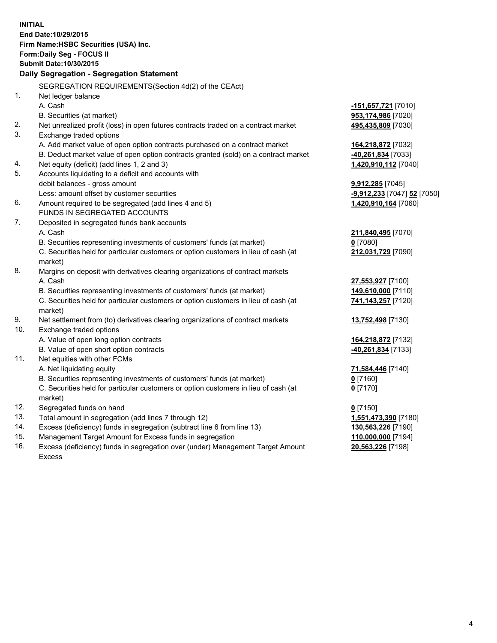|     | <b>INITIAL</b><br>End Date: 10/29/2015<br>Firm Name: HSBC Securities (USA) Inc.<br>Form: Daily Seg - FOCUS II<br>Submit Date: 10/30/2015 |                             |
|-----|------------------------------------------------------------------------------------------------------------------------------------------|-----------------------------|
|     | Daily Segregation - Segregation Statement                                                                                                |                             |
|     | SEGREGATION REQUIREMENTS(Section 4d(2) of the CEAct)                                                                                     |                             |
| 1.  | Net ledger balance                                                                                                                       |                             |
|     | A. Cash                                                                                                                                  | -151,657,721 [7010]         |
|     | B. Securities (at market)                                                                                                                | 953,174,986 [7020]          |
| 2.  | Net unrealized profit (loss) in open futures contracts traded on a contract market                                                       | 495,435,809 [7030]          |
| 3.  | Exchange traded options                                                                                                                  |                             |
|     | A. Add market value of open option contracts purchased on a contract market                                                              | 164,218,872 [7032]          |
|     | B. Deduct market value of open option contracts granted (sold) on a contract market                                                      | 40,261,834 [7033]           |
| 4.  | Net equity (deficit) (add lines 1, 2 and 3)                                                                                              | 1,420,910,112 [7040]        |
| 5.  | Accounts liquidating to a deficit and accounts with                                                                                      |                             |
|     | debit balances - gross amount                                                                                                            | $9,912,285$ [7045]          |
|     | Less: amount offset by customer securities                                                                                               | -9,912,233 [7047] 52 [7050] |
| 6.  | Amount required to be segregated (add lines 4 and 5)                                                                                     | 1,420,910,164 [7060]        |
|     | FUNDS IN SEGREGATED ACCOUNTS                                                                                                             |                             |
| 7.  | Deposited in segregated funds bank accounts                                                                                              |                             |
|     | A. Cash                                                                                                                                  | 211,840,495 [7070]          |
|     | B. Securities representing investments of customers' funds (at market)                                                                   | $0$ [7080]                  |
|     | C. Securities held for particular customers or option customers in lieu of cash (at                                                      | 212,031,729 [7090]          |
|     | market)                                                                                                                                  |                             |
| 8.  | Margins on deposit with derivatives clearing organizations of contract markets                                                           |                             |
|     | A. Cash                                                                                                                                  | 27,553,927 [7100]           |
|     | B. Securities representing investments of customers' funds (at market)                                                                   | 149,610,000 [7110]          |
|     | C. Securities held for particular customers or option customers in lieu of cash (at<br>market)                                           | 741,143,257 [7120]          |
| 9.  | Net settlement from (to) derivatives clearing organizations of contract markets                                                          | 13,752,498 [7130]           |
| 10. | Exchange traded options                                                                                                                  |                             |
|     | A. Value of open long option contracts                                                                                                   | 164,218,872 [7132]          |
|     | B. Value of open short option contracts                                                                                                  | 40,261,834 [7133]           |
| 11. | Net equities with other FCMs                                                                                                             |                             |
|     | A. Net liquidating equity                                                                                                                | 71,584,446 [7140]           |
|     | B. Securities representing investments of customers' funds (at market)                                                                   | 0 [7160]                    |
|     | C. Securities held for particular customers or option customers in lieu of cash (at                                                      | $0$ [7170]                  |
|     | market)                                                                                                                                  |                             |
| 12. | Segregated funds on hand                                                                                                                 | $0$ [7150]                  |
| 13. | Total amount in segregation (add lines 7 through 12)                                                                                     | 1,551,473,390 [7180]        |
| 14. | Excess (deficiency) funds in segregation (subtract line 6 from line 13)                                                                  | 130,563,226 [7190]          |
| 15. | Management Target Amount for Excess funds in segregation                                                                                 | 110,000,000 [7194]          |
| 16. | Excess (deficiency) funds in segregation over (under) Management Target Amount                                                           | 20,563,226 [7198]           |

16. Excess (deficiency) funds in segregation over (under) Management Target Amount Excess